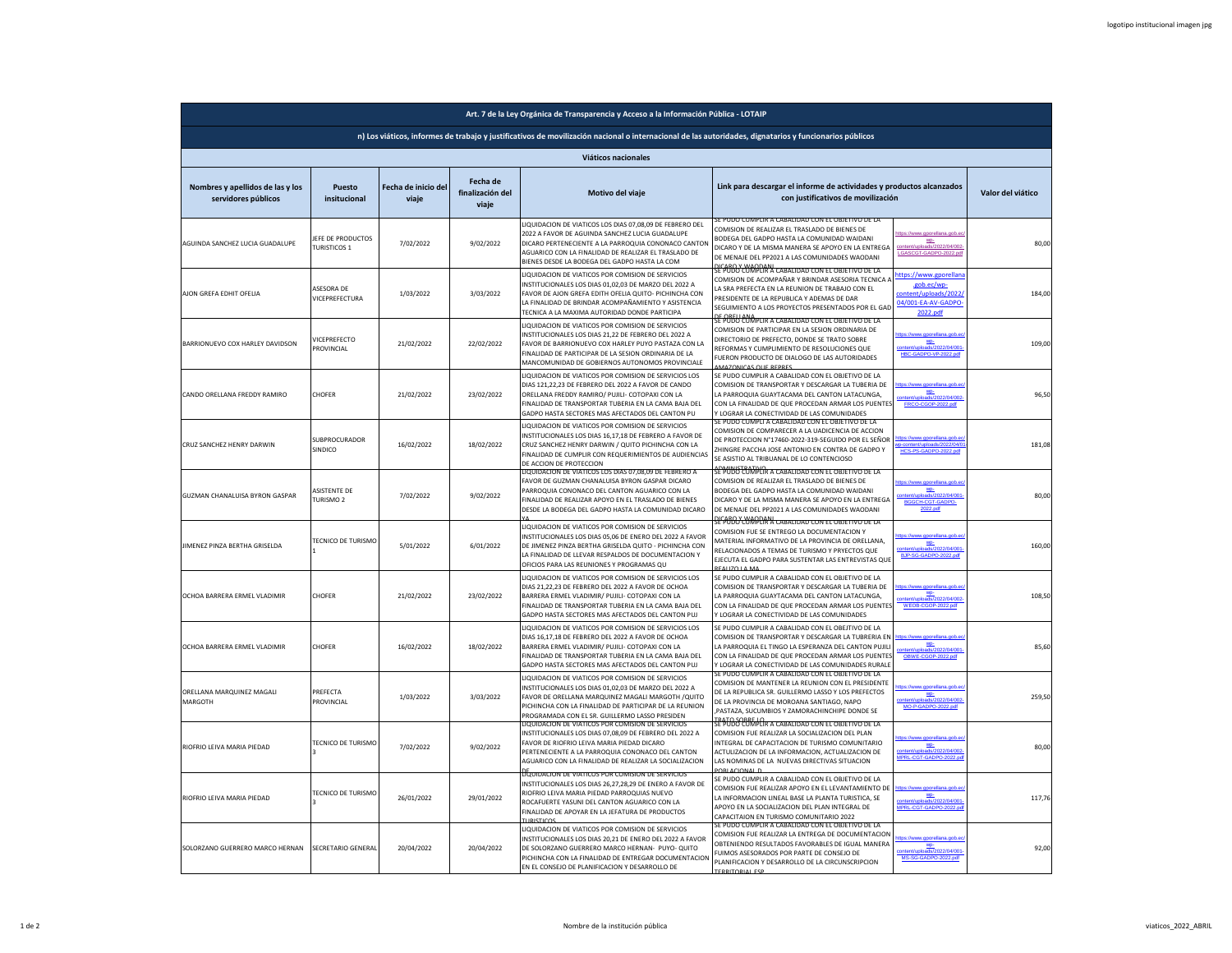| Art. 7 de la Ley Orgánica de Transparencia y Acceso a la Información Pública - LOTAIP |                                                   |                              |                                       |                                                                                                                                                                                                                                                                                  |                                                                                                                                                                                                                                                                                           |                                                                                              |                   |  |
|---------------------------------------------------------------------------------------|---------------------------------------------------|------------------------------|---------------------------------------|----------------------------------------------------------------------------------------------------------------------------------------------------------------------------------------------------------------------------------------------------------------------------------|-------------------------------------------------------------------------------------------------------------------------------------------------------------------------------------------------------------------------------------------------------------------------------------------|----------------------------------------------------------------------------------------------|-------------------|--|
|                                                                                       |                                                   |                              |                                       | n) Los viáticos, informes de trabajo y justificativos de movilización nacional o internacional de las autoridades, dignatarios y funcionarios públicos                                                                                                                           |                                                                                                                                                                                                                                                                                           |                                                                                              |                   |  |
|                                                                                       |                                                   |                              |                                       | Viáticos nacionales                                                                                                                                                                                                                                                              |                                                                                                                                                                                                                                                                                           |                                                                                              |                   |  |
| Nombres y apellidos de las y los<br>servidores públicos                               | Puesto<br>insitucional                            | Fecha de inicio del<br>viaje | Fecha de<br>finalización del<br>viaje | Motivo del viaje                                                                                                                                                                                                                                                                 | Link para descargar el informe de actividades y productos alcanzados<br>con justificativos de movilización                                                                                                                                                                                |                                                                                              | Valor del viático |  |
| AGUINDA SANCHEZ LUCIA GUADALUPE                                                       | JEFE DE PRODUCTOS<br><b>TURISTICOS 1</b>          | 7/02/2022                    | 9/02/2022                             | JQUIDACION DE VIATICOS LOS DIAS 07,08,09 DE FEBRERO DEL<br>2022 A FAVOR DE AGUINDA SANCHEZ LUCIA GUADALUPE<br>DICARO PERTENECIENTE A LA PARROQUIA CONONACO CANTON<br>AGUARICO CON LA FINALIDAD DE REALIZAR EL TRASLADO DE<br>BIENES DESDE LA BODEGA DEL GADPO HASTA LA COM       | SE PUDO CUMPLIR A CABALIDAD CON EL OBJETIVO DE LA<br>COMISION DE REALIZAR EL TRASLADO DE BIENES DE<br>BODEGA DEL GADPO HASTA LA COMUNIDAD WAIDANI<br>DICARO Y DE LA MISMA MANERA SE APOYO EN LA ENTREGA<br>DE MENAJE DEL PP2021 A LAS COMUNIDADES WAODANI                                 | ttps://www.gporellana.gob.e<br>WP-<br>ontent/uploads/2022/04/002-<br>LGASCGT-GADPO-2022.pd   | 80,00             |  |
| AJON GREFA EDHIT OFELIA                                                               | ASESORA DE<br>VICEPREFECTURA                      | 1/03/2022                    | 3/03/2022                             | LIQUIDACION DE VIATICOS POR COMISION DE SERVICIOS<br>NSTITUCIONALES LOS DIAS 01,02,03 DE MARZO DEL 2022 A<br>FAVOR DE AJON GREFA EDITH OFELIA QUITO- PICHINCHA CON<br>A FINALIDAD DE BRINDAR ACOMPAÑAMIENTO Y ASISTENCIA<br><b>FECNICA A LA MAXIMA AUTORIDAD DONDE PARTICIPA</b> | <u>NEABO Y WAODANI.</u><br>NE PUDO CUMPLIR A CABALIDAD CON EL OBJETIVO DE LA<br>COMISION DE ACOMPAÑAR Y BRINDAR ASESORIA TECNICA (<br>A SRA PREFECTA EN LA REUNION DE TRABAJO CON EL<br>PRESIDENTE DE LA REPUBLICA Y ADEMAS DE DAR<br>SEGUIMIENTO A LOS PROYECTOS PRESENTADOS POR EL GAI  | ttps://www.gporella<br>.gob.ec/wo-<br>:ontent/uploads/2022<br>04/001-EA-AV-GADPO<br>2022.pdf | 184,00            |  |
| BARRIONUEVO COX HARLEY DAVIDSON                                                       | <b>/ICEPREFECTO</b><br><b>ROVINCIAL</b>           | 21/02/2022                   | 22/02/2022                            | LIQUIDACION DE VIATICOS POR COMISION DE SERVICIOS<br>NSTITUCIONALES LOS DIAS 21.22 DE FEBRERO DEL 2022 A<br>AVOR DE BARRIONUEVO COX HARLEY PUYO PASTAZA CON LA<br>FINALIDAD DE PARTICIPAR DE LA SESION ORDINARIA DE LA<br>MANCOMUNIDAD DE GOBIERNOS AUTONOMOS PROVINCIALE        | <u>SE POBU COMPLIR A CABALIDAD CON EL OBJETIVO DE LA</u><br>COMISION DE PARTICIPAR EN LA SESION ORDINARIA DE<br>DIRECTORIO DE PREFECTO, DONDE SE TRATO SOBRE<br>REFORMAS Y CUMPLIMIENTO DE RESOLUCIONES QUE<br>FUERON PRODUCTO DE DIALOGO DE LAS AUTORIDADES<br>MAZONICAS QUE RERRES      | tps://www.gporellana.gob.e<br>wp-<br>HBC-GADPO-VP-2022.pdf                                   | 109,00            |  |
| CANDO ORELLANA FREDDY RAMIRO                                                          | CHOFER                                            | 21/02/2022                   | 23/02/2022                            | IQUIDACION DE VIATICOS POR COMISION DE SERVICIOS LOS<br>DIAS 121,22,23 DE FEBRERO DEL 2022 A FAVOR DE CANDO<br>ORELLANA FREDDY RAMIRO/ PUJILI- COTOPAXI CON LA<br>FINALIDAD DE TRANSPORTAR TUBERIA EN LA CAMA BAJA DEL<br>GADPO HASTA SECTORES MAS AFECTADOS DEL CANTON PU       | SE PUDO CUMPLIR A CABALIDAD CON EL OBJETIVO DE LA<br>COMISION DE TRANSPORTAR Y DESCARGAR LA TUBERIA DE<br>LA PARROQUIA GUAYTACAMA DEL CANTON LATACUNGA.<br>CON LA FINALIDAD DE QUE PROCEDAN ARMAR LOS PUENTE:<br>Y LOGRAR LA CONFCTIVIDAD DE LAS COMUNIDADES                              | wp-<br>ads/2022/04/002<br>FRCO-CGOP-2022.pdf                                                 | 96,50             |  |
| CRUZ SANCHEZ HENRY DARWIN                                                             | SUBPROCURADOR<br>SINDICO                          | 16/02/2022                   | 18/02/2022                            | LIQUIDACION DE VIATICOS POR COMISION DE SERVICIOS<br>INSTITUCIONALES LOS DIAS 16,17,18 DE FEBRERO A FAVOR DE<br>CRUZ SANCHEZ HENRY DARWIN / QUITO PICHINCHA CON LA<br>FINALIDAD DE CUMPLIR CON REQUERIMIENTOS DE AUDIENCIAS<br>DE ACCION DE PROTECCION                           | E PUDO CUMPLI A CABALIDAD CON EL OBJETIVO DE I<br>COMISION DE COMPARECER A LA UADICENCIA DE ACCION<br>DE PROTECCION N°17460-2022-319-SEGUIDO POR EL SEÑOR<br>ZHINGRE PACCHA JOSE ANTONIO EN CONTRA DE GADPO Y<br>SE ASISTIO AL TRIBUANAL DE LO CONTENCIOSO                                | llana.gob.<br>content/unloads/2022/04/0<br>HCS-PS-GADPO-2022.pdf                             | 181,08            |  |
| GUZMAN CHANALUISA BYRON GASPAR                                                        | <b>ASISTENTE DE</b><br><b>TURISMO<sub>2</sub></b> | 7/02/2022                    | 9/02/2022                             | LIQUIDACION DE VIATICOS LOS DIAS 07,08,09 DE FEBRERO A<br>FAVOR DE GUZMAN CHANALUISA BYRON GASPAR DICARO<br>ARROQUIA CONONACO DEL CANTON AGUARICO CON LA<br>INALIDAD DE REALIZAR APOYO EN EL TRASLADO DE BIENES<br>DESDE LA BODEGA DEL GADPO HASTA LA COMUNIDAD DICARO           | <u>SEMUNSTENTIMER A CABALIDAD CON EL OBJETIVO DE LA</u><br>COMISION DE REALIZAR EL TRASLADO DE BIENES DE<br>BODEGA DEL GADPO HASTA LA COMUNIDAD WAIDANI<br>DICARO Y DE LA MISMA MANERA SE APOYO EN LA ENTREGA<br>DE MENAJE DEL PP2021 A LAS COMUNIDADES WAODANI                           | wp-<br>uploads/2022/04/001<br>BGGCH-CGT-GADPO-<br>2022.pdf                                   | 80,00             |  |
| JIMENEZ PINZA BERTHA GRISELDA                                                         | TECNICO DE TURISMO                                | 5/01/2022                    | 6/01/2022                             | LIQUIDACION DE VIATICOS POR COMISION DE SERVICIOS<br>NSTITUCIONALES LOS DIAS 05.06 DE ENERO DEL 2022 A FAVOR<br>DE JIMENEZ PINZA BERTHA GRISELDA QUITO - PICHINCHA CON<br>LA FINALIDAD DE LLEVAR RESPALDOS DE DOCUMENTACION Y<br>OFICIOS PARA LAS REUNIONES Y PROGRAMAS QU       | <u>DICARO Y WAODANI.</u><br>SE PUDO CUMPLIR A CABALIDAD CON EL OBJETIVO DE LA<br>COMISION FUE SE ENTREGO LA DOCUMENTACION Y<br>MATERIAL INFORMATIVO DE LA PROVINCIA DE ORELLANA,<br>RELACIONADOS A TEMAS DE TURISMO Y PRYECTOS QUE<br>EJECUTA EL GADPO PARA SUSTENTAR LAS ENTREVISTAS QUE | ps://www.gporellana.gob.e<br>wp-<br>- ontent/uploads/2022/04/001<br>BJP-SG-GADPO-2022.pdf    | 160,00            |  |
| OCHOA BARRERA ERMEL VLADIMIR                                                          | CHOFER                                            | 21/02/2022                   | 23/02/2022                            | LIQUIDACION DE VIATICOS POR COMISION DE SERVICIOS LOS<br>DIAS 21,22,23 DE FEBRERO DEL 2022 A FAVOR DE OCHOA<br>BARRERA ERMEL VLADIMIR/ PUJILI- COTOPAXI CON LA<br>INALIDAD DE TRANSPORTAR TUBERIA EN LA CAMA BAJA DEL<br>GADPO HASTA SECTORES MAS AFECTADOS DEL CANTON PUJ       | SE PUDO CUMPLIR A CABALIDAD CON EL OBJETIVO DE LA<br>COMISION DE TRANSPORTAR Y DESCARGAR LA TUBERIA DE<br>A PARROQUIA GUAYTACAMA DEL CANTON LATACUNGA,<br>CON LA FINALIDAD DE QUE PROCEDAN ARMAR LOS PUENTES<br>LOGRAR LA CONECTIVIDAD DE LAS COMUNIDADES                                 | <u>wp-</u><br>\ads/2022/04/00<br>WEOB-CGOP-2022.pdf                                          | 108,50            |  |
| OCHOA BARRERA ERMEL VLADIMIR                                                          | CHOFER                                            | 16/02/2022                   | 18/02/2022                            | LIQUIDACION DE VIATICOS POR COMISION DE SERVICIOS LOS<br>DIAS 16.17.18 DE FEBRERO DEL 2022 A FAVOR DE OCHOA<br>BARRERA ERMEL VLADIMIR/ PUJILI- COTOPAXI CON LA<br>INALIDAD DE TRANSPORTAR TUBERIA EN LA CAMA BAJA DEL<br>GADPO HASTA SECTORES MAS AFECTADOS DEL CANTON PUJ       | SE PUDO CUMPLIR A CABALIDAD CON EL OBEJTIVO DE LA<br>COMISION DE TRANSPORTAR Y DESCARGAR LA TUBRERIA EN<br>LA PARROQUIA EL TINGO LA ESPERANZA DEL CANTON PUJIL<br>CON LA FINALIDAD DE QUE PROCEDAN ARMAR LOS PUENTE:<br>Y LOGRAR LA CONECTIVIDAD DE LAS COMUNIDADES RURALE                | $\underline{\mathbf{w}}$<br>'oads/2022/04/00*<br>OBWE-CGOP-2022.pdf                          | 85,60             |  |
| ORELLANA MARQUINEZ MAGALI<br>MARGOTH                                                  | PREFECTA<br>PROVINCIAL                            | 1/03/2022                    | 3/03/2022                             | LIQUIDACION DE VIATICOS POR COMISION DE SERVICIOS<br>NSTITUCIONALES LOS DIAS 01,02,03 DE MARZO DEL 2022 A<br>FAVOR DE ORELLANA MARQUINEZ MAGALI MARGOTH /QUITO<br>PICHINCHA CON LA FINALIDAD DE PARTICIPAR DE LA REUNION<br>PROGRAMADA CON EL SR. GUILLERMO LASSO PRESIDEN       | E PUDO CUMPLIR A CABALIDAD CON EL OBJETIVO DE LA<br>COMISION DE MANTENER LA REUNION CON EL PRESIDENTE<br>DE LA REPUBLICA SR. GUILLERMO LASSO Y LOS PREFECTOS<br>DE LA PROVINCIA DE MOROANA SANTIAGO, NAPO<br>PASTAZA, SUCUMBIOS Y ZAMORACHINCHIPE DONDE SE                                | orellana.gob.e<br>wp-<br>ads/2022/04/002<br>MO-P-GADPO-2022.odf                              | 259,50            |  |
| RIOFRIO LEIVA MARIA PIEDAD                                                            | TECNICO DE TURISMO                                | 7/02/2022                    | 9/02/2022                             | IQUIDACION DE VIATICOS POR COMISION DE SERVICIO!<br>INSTITUCIONALES LOS DIAS 07,08,09 DE FEBRERO DEL 2022 A<br>FAVOR DE RIOFRIO LEIVA MARIA PIEDAD DICARO<br>PERTENECIENTE A LA PARROQUIA CONONACO DEL CANTON<br>AGUARICO CON LA FINALIDAD DE REALIZAR LA SOCIALIZACION          | : PUDO CUMPLIR A CABALIDAD CON EL OBJETIVO DE LA<br>COMISION FUE REALIZAR LA SOCIALIZACION DEL PLAN<br>INTEGRAL DE CAPACITACION DE TURISMO COMUNITARIO<br>ACTULIZACION DE LA INFORMACION, ACTUALIZACION DE<br>LAS NOMINAS DE LA NUEVAS DIRECTIVAS SITUACION<br><b>ORLACIONAL D</b>        | WD:<br>ads/2022/04/002<br>IPRL-CGT-GADPO-2022.p                                              | 80,00             |  |
| RIOFRIO LEIVA MARIA PIEDAD                                                            | <b>TECNICO DE TURISMO</b>                         | 26/01/2022                   | 29/01/2022                            | L'QUIDACION DE VIATICOS POR COMISION DE SERVICIOS<br>INSTITUCIONALES LOS DIAS 26,27,28,29 DE ENERO A FAVOR DE<br>RIOERIO I FIVA MARIA PIEDAD PARROQUIAS NUEVO<br>ROCAFUERTE YASUNI DEL CANTON AGUARICO CON LA<br>FINALIDAD DE APOYAR EN LA JEFATURA DE PRODUCTOS                 | SE PUDO CUMPLIR A CABALIDAD CON EL OBJETIVO DE LA<br>COMISION FUE REALIZAR APOYO EN EL LEVANTAMIENTO DE<br>LA INFORMACION LINEAL BASE LA PLANTA TURISTICA, SE<br>APOYO EN LA SOCIALIZACION DEL PLAN INTEGRAL DE<br>CAPACITAION EN TURISMO COMUNITARIO 2022                                | www.gporellana.gob.<br>WP-<br>ontent/uploads/2022/04/001<br>IPRL-CGT-GADPO-2022.p            | 117,76            |  |
| SOLORZANO GUERRERO MARCO HERNAN                                                       | SECRETARIO GENERAL                                | 20/04/2022                   | 20/04/2022                            | LIQUIDACION DE VIATICOS POR COMISION DE SERVICIOS<br>NSTITUCIONALES LOS DIAS 20.21 DE ENERO DEL 2022 A FAVOR<br>DE SOLORZANO GUERRERO MARCO HERNAN- PUYO- QUITO<br>PICHINCHA CON LA FINALIDAD DE ENTREGAR DOCUMENTACION<br>EN EL CONSEJO DE PLANIFICACION Y DESARROLLO DE        | IMPLIR A CABALIDAD CON FLOBIFTIVE<br>COMISION FUE REALIZAR LA ENTREGA DE DOCUMENTACION<br>OBTENIENDO RESULTADOS FAVORABLES DE IGUAL MANERA<br>FUIMOS ASESORADOS POR PARTE DE CONSEJO DE<br>PLANIFICACION Y DESARROLLO DE LA CIRCUNSCRIPCION<br><b>TERRITORIAL ESP</b>                     | ps://www.gporellana.gob.e<br><b>WP</b><br><b>POINAINS</b><br>MS-SG-GADPO-2022.pdf            | 92,00             |  |